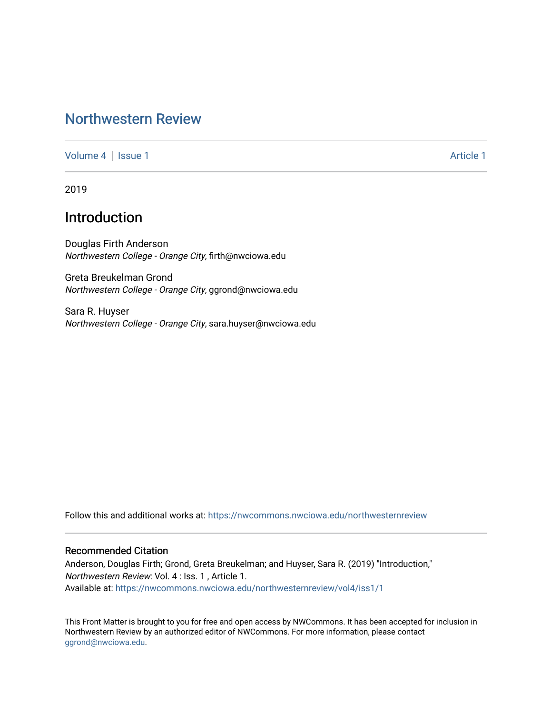## [Northwestern Review](https://nwcommons.nwciowa.edu/northwesternreview)

[Volume 4](https://nwcommons.nwciowa.edu/northwesternreview/vol4) | [Issue 1](https://nwcommons.nwciowa.edu/northwesternreview/vol4/iss1) Article 1

2019

# Introduction

Douglas Firth Anderson Northwestern College - Orange City, firth@nwciowa.edu

Greta Breukelman Grond Northwestern College - Orange City, ggrond@nwciowa.edu

Sara R. Huyser Northwestern College - Orange City, sara.huyser@nwciowa.edu

Follow this and additional works at: [https://nwcommons.nwciowa.edu/northwesternreview](https://nwcommons.nwciowa.edu/northwesternreview?utm_source=nwcommons.nwciowa.edu%2Fnorthwesternreview%2Fvol4%2Fiss1%2F1&utm_medium=PDF&utm_campaign=PDFCoverPages) 

#### Recommended Citation

Anderson, Douglas Firth; Grond, Greta Breukelman; and Huyser, Sara R. (2019) "Introduction," Northwestern Review: Vol. 4 : Iss. 1 , Article 1. Available at: [https://nwcommons.nwciowa.edu/northwesternreview/vol4/iss1/1](https://nwcommons.nwciowa.edu/northwesternreview/vol4/iss1/1?utm_source=nwcommons.nwciowa.edu%2Fnorthwesternreview%2Fvol4%2Fiss1%2F1&utm_medium=PDF&utm_campaign=PDFCoverPages)

This Front Matter is brought to you for free and open access by NWCommons. It has been accepted for inclusion in Northwestern Review by an authorized editor of NWCommons. For more information, please contact [ggrond@nwciowa.edu.](mailto:ggrond@nwciowa.edu)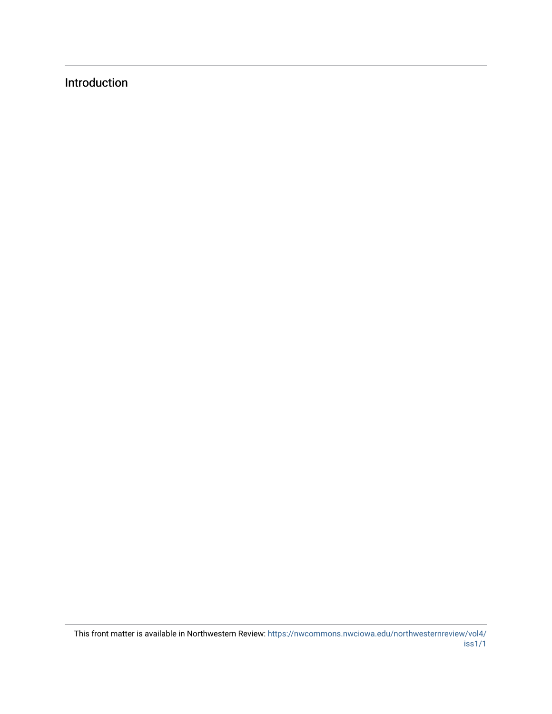## Introduction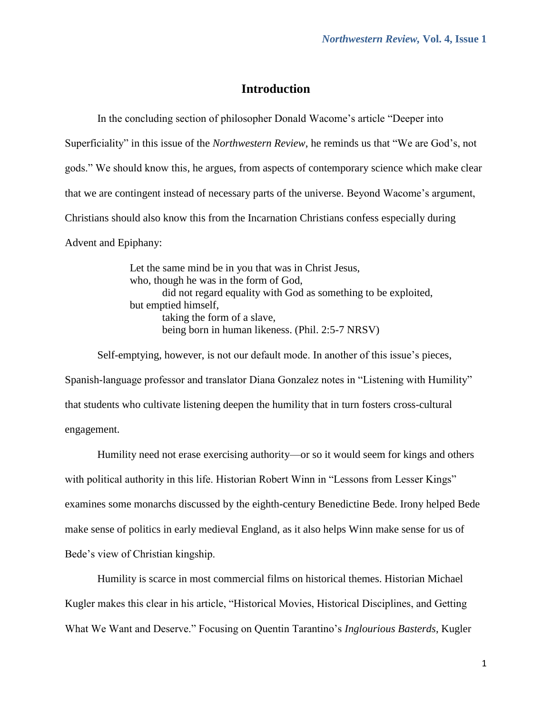### **Introduction**

In the concluding section of philosopher Donald Wacome's article "Deeper into Superficiality" in this issue of the *Northwestern Review*, he reminds us that "We are God's, not gods." We should know this, he argues, from aspects of contemporary science which make clear that we are contingent instead of necessary parts of the universe. Beyond Wacome's argument, Christians should also know this from the Incarnation Christians confess especially during Advent and Epiphany:

> Let the same mind be in you that was in Christ Jesus, who, though he was in the form of God, did not regard equality with God as something to be exploited, but emptied himself, taking the form of a slave, being born in human likeness. (Phil. 2:5-7 NRSV)

Self-emptying, however, is not our default mode. In another of this issue's pieces, Spanish-language professor and translator Diana Gonzalez notes in "Listening with Humility" that students who cultivate listening deepen the humility that in turn fosters cross-cultural engagement.

Humility need not erase exercising authority—or so it would seem for kings and others with political authority in this life. Historian Robert Winn in "Lessons from Lesser Kings" examines some monarchs discussed by the eighth-century Benedictine Bede. Irony helped Bede make sense of politics in early medieval England, as it also helps Winn make sense for us of Bede's view of Christian kingship.

Humility is scarce in most commercial films on historical themes. Historian Michael Kugler makes this clear in his article, "Historical Movies, Historical Disciplines, and Getting What We Want and Deserve." Focusing on Quentin Tarantino's *Inglourious Basterds*, Kugler